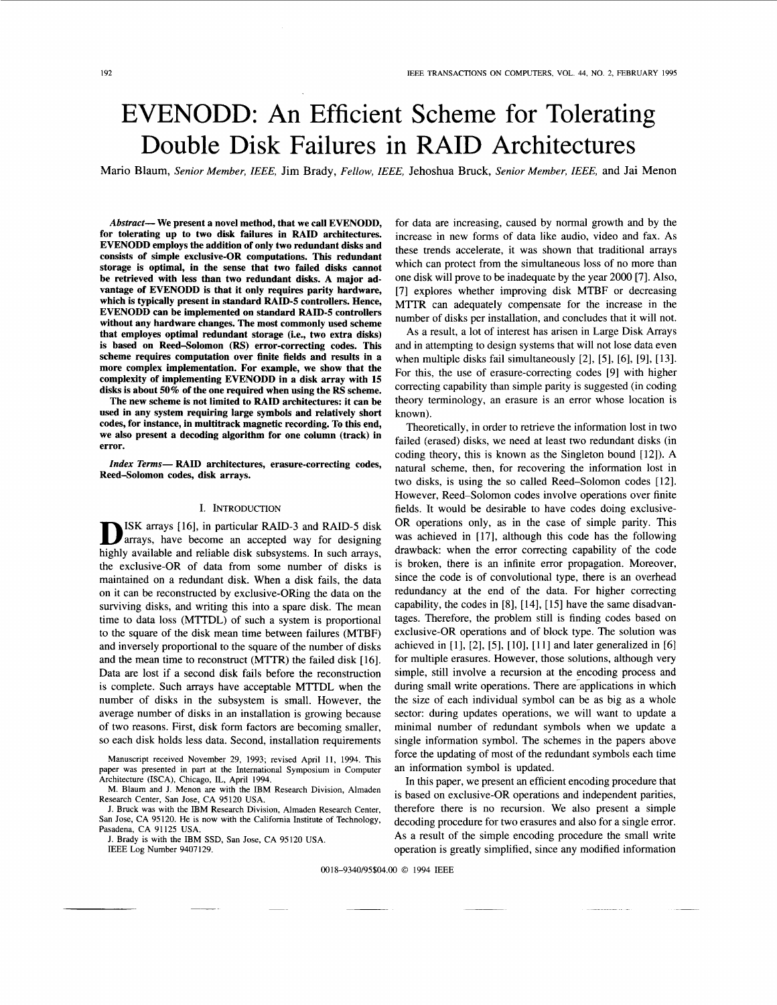# **EVENODD: An Efficient Scheme for Tolerating Double Disk Failures in RAID Architectures**

Mario Blaum, *Senior Member, IEEE,* Jim Brady, *Fellow, IEEE,* Jehoshua Bruck, *Senior Member, IEEE,* and Jai Menon

*Abstract*—We present a novel method, that we call EVENODD, for tolerating up to two disk failures in RAID architectures. EVENODD employs the addition of only two redundant disks and consists of simple exclusive-OR computations. This redundant storage is optimal, in the sense that two failed disks cannot be retrieved with less than two redundant disks. A major advantage of EVENODD is that it only requires parity hardware, which is typically present in standard RAID-S controllers. Hence, EVENODD can be implemented on standard RAID-S controllers without any hardware changes. The most commonly used scheme that employes optimal redundant storage (i.e., two extra disks) is based on Reed-Solomon (RS) error-correcting codes. This scheme requires computation over finite fields and results in a more complex implementation. For example, we show that the complexity of implementing EVENODD in a disk array with 15 disks is about 50% of the one required when using the RS scheme.

The new scheme is not limited to RAID architectures: it can be used in any system requiring large symbols and relatively short codes, for instance, in multitrack magnetic recording. To this end, we also present a decoding algorithm for one column (track) in error.

*Index Terms-* RAID architectures, erasure-correcting codes, Reed-Solomon codes, disk arrays.

## I. INTRODUCTION

**D**ISK arrays [16], in particular RAID-3 and RAID-5 disk arrays, have become an accepted way for designing highly available and reliable disk subsystems. In such arrays, the exclusive-OR of data from some number of disks is maintained on a redundant disk. When a disk fails, the data on it can be reconstructed by exclusive-ORing the data on the surviving disks, and writing this into a spare disk. The mean time to data loss (MTIDL) of such a system is proportional to the square of the disk mean time between failures (MTBF) and inversely proportional to the square of the number of disks and the mean time to reconstruct (MTIR) the failed disk [16]. Data are lost if a second disk fails before the reconstruction is complete. Such arrays have acceptable MTIDL when the number of disks in the subsystem is small. However, the average number of disks in an installation is growing because of two reasons. First, disk form factors are becoming smaller, so each disk holds less data. Second, installation requirements

Manuscript received November 29, 1993; revised April II, 1994. This paper was presented in part at the International Symposium in Computer Architecture (ISCA), Chicago, IL, April 1994.

M. Blaum and J. Menon are with the IBM Research Division, Almaden Research Center, San Jose, CA 95120 USA.

J. Bruck was with the IBM Research Division, Almaden Research Center, San Jose, CA 95120. He is now with the California Institute of Technology, Pasadena, CA 91125 USA.

J. Brady is with the IBM SSD, San Jose, CA 95120 USA.

IEEE Log Number 9407129.

for data are increasing, caused by normal growth and by the increase in new forms of data like audio, video and fax. As these trends accelerate, it was shown that traditional arrays which can protect from the simultaneous loss of no more than one disk will prove to be inadequate by the year 2000 [7]. Also, [7] explores whether improving disk MTBF or decreasing MTIR can adequately compensate for the increase in the number of disks per installation, and concludes that it will not.

As a result, a lot of interest has arisen in Large Disk Arrays and in attempting to design systems that will not lose data even when multiple disks fail simultaneously [2], [5], [6], [9], [13]. For this, the use of erasure-correcting codes [9] with higher correcting capability than simple parity is suggested (in coding theory terminology, an erasure is an error whose location is known).

Theoretically, in order to retrieve the information lost in two failed (erased) disks, we need at least two redundant disks (in coding theory, this is known as the Singleton bound [I2]). A natural scheme, then, for recovering the information lost in two disks, is using the so called Reed-Solomon codes [I2]. However, Reed-Solomon codes involve operations over finite fields. It would be desirable to have codes doing exclusive-OR operations only, as in the case of simple parity. This was achieved in [17], although this code has the following drawback: when the error correcting capability of the code is broken, there is an infinite error propagation. Moreover, since the code is of convolutional type, there is an overhead redundancy at the end of the data. For higher correcting capability, the codes in [8], [I4], [I5] have the same disadvantages. Therefore, the problem still is finding codes based on exclusive-OR operations and of block type. The solution was achieved in [I], [2], [5], [10], [II] and later generalized in [6] for multiple erasures. However, those solutions, although very simple, still involve a recursion at the encoding process and during small write operations. There are applications in which the size of each individual symbol can be as big as a whole sector: during updates operations, we will want to update a minimal number of redundant symbols when we update a single information symbol. The schemes in the papers above force the updating of most of the redundant symbols each time an information symbol is updated.

In this paper, we present an efficient encoding procedure that is based on exclusive-OR operations and independent parities, therefore there is no recursion. We also present a simple decoding procedure for two erasures and also for a single error. As a result of the simple encoding procedure the small write operation is greatly simplified, since any modified information

0018-9340/95\$04.00 © 1994 IEEE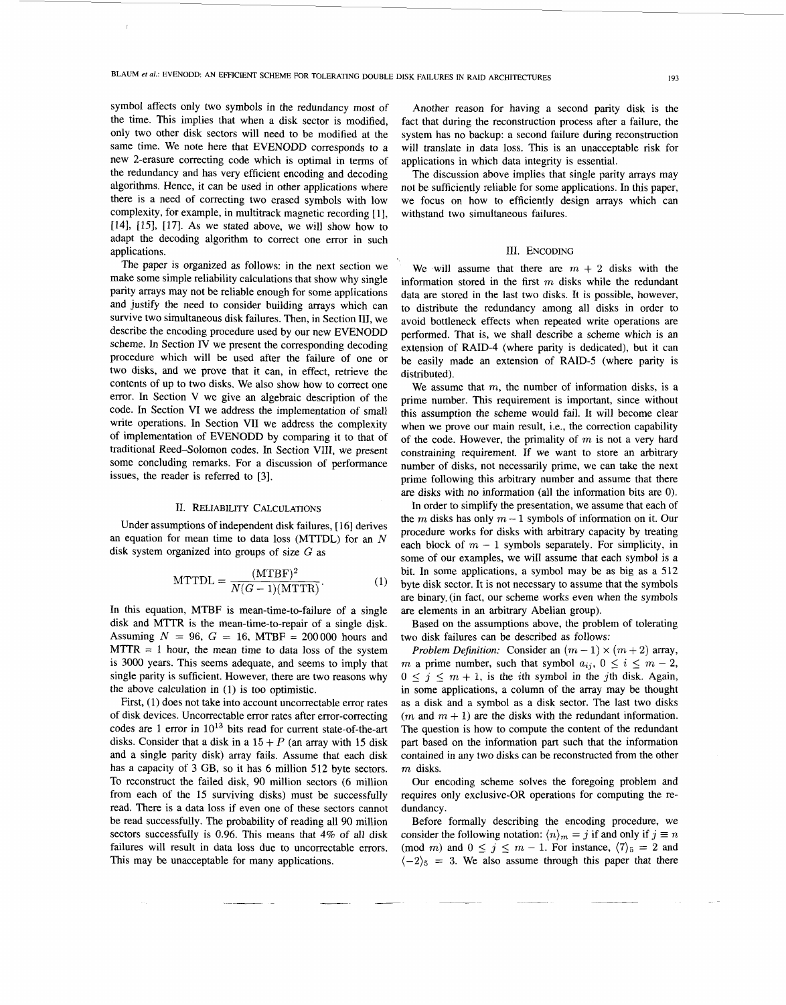symbol affects only two symbols in the redundancy most of the time. This implies that when a disk sector is modified, only two other disk sectors will need to be modified at the same time. We note here that EVENODD corresponds to a new 2-erasure correcting code which is optimal in terms of the redundancy and has very efficient encoding and decoding algorithms. Hence, it can be used in other applications where there is a need of correcting two erased symbols with low complexity, for example, in multitrack magnetic recording [1],  $[14]$ ,  $[15]$ ,  $[17]$ . As we stated above, we will show how to adapt the decoding algorithm to correct one error in such applications.

The paper is organized as follows: in the next section we make some simple reliability calculations that show why single parity arrays may not be reliable enough for some applications and justify the need to consider building arrays which can survive two simultaneous disk failures. Then, in Section III, we describe the encoding procedure used by our new EVENODD scheme. In Section IV we present the corresponding decoding procedure which will be used after the failure of one or two disks, and we prove that it can, in effect, retrieve the contents of up to two disks. We also show how to correct one error. In Section V we give an algebraic description of the code. In Section VI we address the implementation of small write operations. In Section VII we address the complexity of implementation of EVENODD by comparing it to that of traditional Reed-Solomon codes. In Section VIII, we present some concluding remarks. For a discussion of performance issues, the reader is referred to [3].

# II. RELIABILITY CALCULATIONS

Under assumptions of independent disk failures, [ 16] derives an equation for mean time to data loss (MTIDL) for an *N*  disk system organized into groups of size *G* as

$$
MTTDL = \frac{(MTBF)^2}{N(G-1)(MTTR)}.
$$
 (1)

In this equation, MTBF is mean-time-to-failure of a single disk and MTIR is the mean-time-to-repair of a single disk. Assuming  $N = 96$ ,  $G = 16$ , MTBF = 200 000 hours and  $MTTR = 1$  hour, the mean time to data loss of the system is 3000 years. This seems adequate, and seems to imply that single parity is sufficient. However, there are two reasons why the above calculation in (1) is too optimistic.

First, (1) does not take into account uncorrectable error rates of disk devices. Uncorrectable error rates after error-correcting codes are  $1$  error in  $10^{13}$  bits read for current state-of-the-art disks. Consider that a disk in a  $15 + P$  (an array with 15 disk and a single parity disk) array fails. Assume that each disk has a capacity of 3 GB, so it has 6 million 512 byte sectors. To reconstruct the failed disk, 90 million sectors (6 million from each of the 15 surviving disks) must be successfully read. There is a data loss if even one of these sectors cannot be read successfully. The probability of reading all 90 million sectors successfully is 0.96. This means that 4% of all disk failures will result in data loss due to uncorrectable errors. This may be unacceptable for many applications.

Another reason for having a second parity disk is the fact that during the reconstruction process after a failure, the system has no backup: a second failure during reconstruction will translate in data loss. This is an unacceptable risk for applications in which data integrity is essential.

The discussion above implies that single parity arrays may not be sufficiently reliable for some applications. In this paper, we focus on how to efficiently design arrays which can withstand two simultaneous failures.

# III. ENCODING

We will assume that there are  $m + 2$  disks with the information stored in the first *m* disks while the redundant data are stored in the last two disks. It is possible, however, to distribute the redundancy among all disks in order to avoid bottleneck effects when repeated write operations are performed. That is, we shall describe a scheme which is an extension of RAID-4 (where parity is dedicated), but it can be easily made an extension of RAID-S (where parity is distributed).

We assume that *m*, the number of information disks, is a prime number. This requirement is important, since without this assumption the scheme would fail. It will become clear when we prove our main result, *i.e.*, the correction capability of the code. However, the primality of *m* is not a very hard constraining requirement. If we want to store an arbitrary number of disks, not necessarily prime, we can take the next prime following this arbitrary number and assume that there are disks with no information (all the information bits are 0).

In order to simplify the presentation, we assume that each of the  $m$  disks has only  $m-1$  symbols of information on it. Our procedure works for disks with arbitrary capacity by treating each block of  $m - 1$  symbols separately. For simplicity, in some of our examples, we will assume that each symbol is a bit. In some applications, a symbol may be as big as a 512 byte disk sector. It is not necessary to assume that the symbols are binary. (in fact, our scheme works even when the symbols are elements in an arbitrary Abelian group).

Based on the assumptions above, the problem of tolerating two disk failures can be described as follows:

*Problem Definition:* Consider an  $(m - 1) \times (m + 2)$  array, m a prime number, such that symbol  $a_{ij}$ ,  $0 \le i \le m-2$ ,  $0 \leq j \leq m + 1$ , is the *i*th symbol in the *j*th disk. Again, in some applications, a column of the array may be thought as a disk and a symbol as a disk sector. The last two disks  $(m \text{ and } m + 1)$  are the disks with the redundant information. The question is how to compute the content of the redundant part based on the information part such that the information contained in any two disks can be reconstructed from the other *m* disks.

Our encoding scheme solves the foregoing problem and requires only exclusive-OR operations for computing the redundancy.

Before formally describing the encoding procedure, we consider the following notation:  $\langle n \rangle_m = j$  if and only if  $j \equiv n$ (mod m) and  $0 \le j \le m-1$ . For instance,  $\langle 7 \rangle_5 = 2$  and  $\langle -2 \rangle_5 = 3$ . We also assume through this paper that there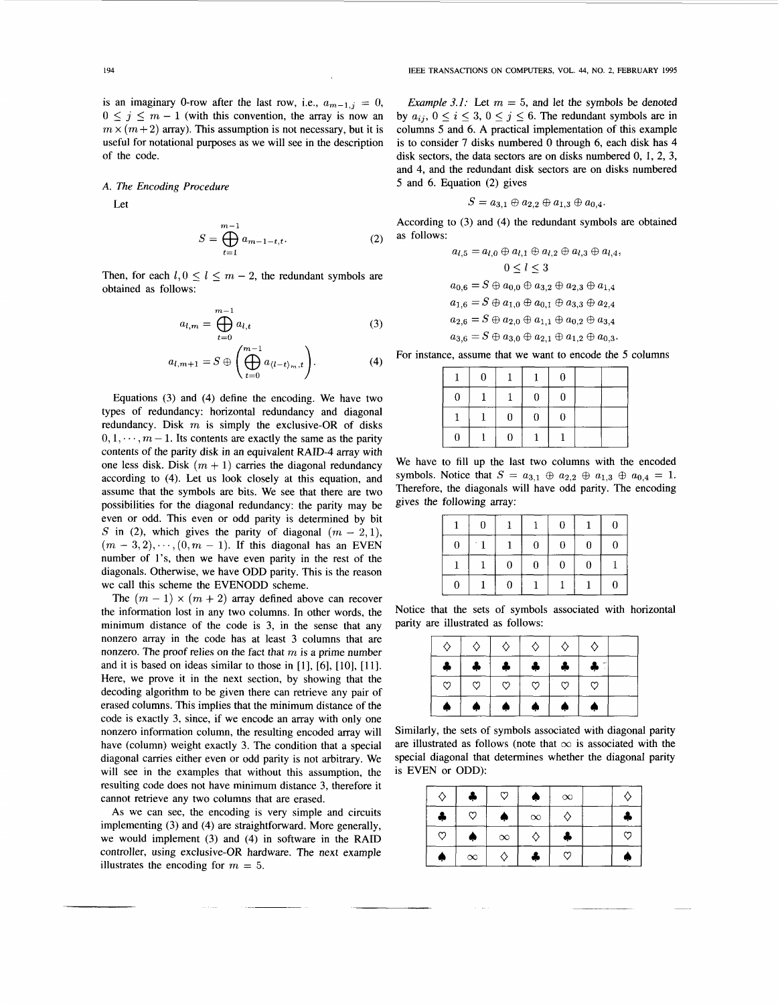is an imaginary 0-row after the last row, i.e.,  $a_{m-1,j} = 0$ ,  $0 \leq j \leq m - 1$  (with this convention, the array is now an  $m \times (m+2)$  array). This assumption is not necessary, but it is useful for notational purposes as we will see in the description of the code.

# *A. The Encoding Procedure*

Let

$$
S = \bigoplus_{t=1}^{m-1} a_{m-1-t,t}.
$$
 (2)

Then, for each  $l, 0 \le l \le m - 2$ , the redundant symbols are obtained as follows:

$$
a_{l,m} = \bigoplus_{t=0}^{m-1} a_{l,t}
$$
 (3)

$$
a_{l,m+1} = S \oplus \left( \bigoplus_{t=0}^{m-1} a_{\langle l-t \rangle_m, t} \right). \tag{4}
$$

Equations (3) and (4) define the encoding. We have two types of redundancy: horizontal redundancy and diagonal redundancy. Disk *m* is simply the exclusive-OR of disks  $0, 1, \dots, m-1$ . Its contents are exactly the same as the parity contents of the parity disk in an equivalent RAID-4 array with one less disk. Disk  $(m + 1)$  carries the diagonal redundancy according to (4). Let us look closely at this equation, and assume that the symbols are bits. We see that there are two possibilities for the diagonal redundancy: the parity may be even or odd. This even or odd parity is determined by bit *S* in (2), which gives the parity of diagonal  $(m - 2, 1)$ ,  $(m-3, 2), \cdots, (0, m-1)$ . If this diagonal has an EVEN number of 1's, then we have even parity in the rest of the diagonals. Otherwise, we have ODD parity. This is the reason we call this scheme the EVENODD scheme.

The  $(m - 1) \times (m + 2)$  array defined above can recover the information lost in any two columns. In other words, the minimum distance of the code is 3, in the sense that any nonzero array in the code has at least 3 columns that are nonzero. The proof relies on the fact that *m* is a prime number and it is based on ideas similar to those in [1], [6], [10], [11]. Here, we prove it in the next section, by showing that the decoding algorithm to be given there can retrieve any pair of erased columns. This implies that the minimum distance of the code is exactly 3, since, if we encode an array with only one nonzero information column, the resulting encoded array will have (column) weight exactly 3. The condition that a special diagonal carries either even or odd parity is not arbitrary. We will see in the examples that without this assumption, the resulting code does not have minimum distance 3, therefore it cannot retrieve any two columns that are erased.

As we can see, the encoding is very simple and circuits implementing (3) and (4) are straightforward. More generally, we would implement (3) and (4) in software in the RAID controller, using exclusive-OR hardware. The next example illustrates the encoding for  $m = 5$ .

*Example 3.1:* Let  $m = 5$ , and let the symbols be denoted by  $a_{ij}$ ,  $0 \le i \le 3$ ,  $0 \le j \le 6$ . The redundant symbols are in columns 5 and 6. A practical implementation of this example is to consider 7 disks numbered 0 through 6, each disk has 4 disk sectors, the data sectors are on disks numbered 0, 1, 2, 3, and 4, and the redundant disk sectors are on disks numbered 5 and 6. Equation (2) gives

$$
S = a_{3,1} \oplus a_{2,2} \oplus a_{1,3} \oplus a_{0,4}.
$$

According to (3) and (4) the redundant symbols are obtained as follows:

$$
a_{l,5} = a_{l,0} \oplus a_{l,1} \oplus a_{l,2} \oplus a_{l,3} \oplus a_{l,4},
$$
  
\n
$$
0 \le l \le 3
$$
  
\n
$$
a_{0,6} = S \oplus a_{0,0} \oplus a_{3,2} \oplus a_{2,3} \oplus a_{1,4}
$$
  
\n
$$
a_{1,6} = S \oplus a_{1,0} \oplus a_{0,1} \oplus a_{3,3} \oplus a_{2,4}
$$
  
\n
$$
a_{2,6} = S \oplus a_{2,0} \oplus a_{1,1} \oplus a_{0,2} \oplus a_{3,4}
$$
  
\n
$$
a_{3,6} = S \oplus a_{3,0} \oplus a_{2,1} \oplus a_{1,2} \oplus a_{0,3}.
$$

For instance, assume that we want to encode the 5 columns

|                  | $\bf{0}$ |                |                | $\bf{0}$ |  |
|------------------|----------|----------------|----------------|----------|--|
| $\mathbf{0}$     |          |                | $\mathbf 0$    | 0        |  |
|                  |          | $\overline{0}$ | $\overline{0}$ | $\bf{0}$ |  |
| $\boldsymbol{0}$ |          | 0              |                |          |  |

We have to fill up the last two columns with the encoded symbols. Notice that  $S = a_{3,1} \oplus a_{2,2} \oplus a_{1,3} \oplus a_{0,4} = 1$ . Therefore, the diagonals will have odd parity. The encoding gives the following array:

|          | $\boldsymbol{0}$ |                |   | 0                |                  | 0 |
|----------|------------------|----------------|---|------------------|------------------|---|
| $\bf{0}$ | ٠                |                | 0 | $\boldsymbol{0}$ | $\bf{0}$         | 0 |
|          |                  | $\mathbf{0}$   | 0 | 0                | $\boldsymbol{0}$ |   |
| 0        |                  | $\overline{0}$ |   |                  |                  | 0 |

Notice that the sets of symbols associated with horizontal parity are illustrated as follows:

| Ģ       | ņ | ٠ | ٠  | Ф           | Ģ |
|---------|---|---|----|-------------|---|
| $\circ$ | ∞ | ო | ♡  | $\infty$    | ♡ |
| ÷       | ♣ | ÷ | ♣. | $\clubsuit$ | ♣ |
|         |   |   |    |             |   |

Similarly, the sets of symbols associated with diagonal parity are illustrated as follows (note that  $\infty$  is associated with the special diagonal that determines whether the diagonal parity is EVEN or ODD):

|   |          | ო        |          | $\infty$ |  |
|---|----------|----------|----------|----------|--|
| 4 | m        | т        | $\infty$ |          |  |
|   |          | $\infty$ |          |          |  |
|   | $\infty$ |          |          | m        |  |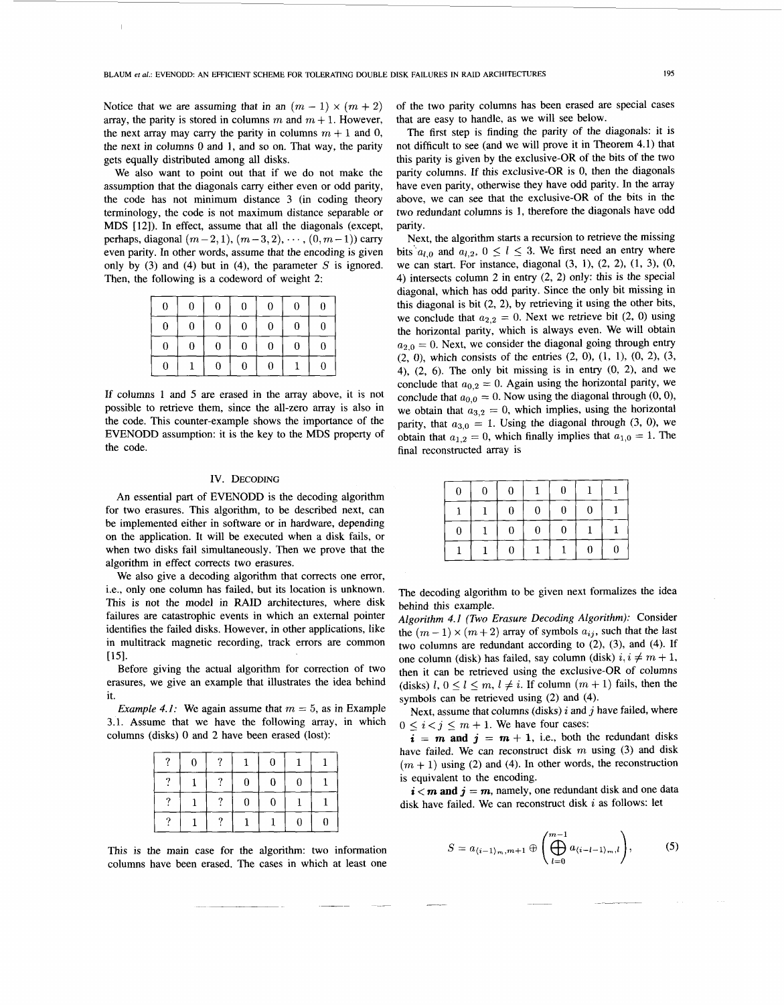Notice that we are assuming that in an  $(m-1) \times (m+2)$ array, the parity is stored in columns  $m$  and  $m + 1$ . However, the next array may carry the parity in columns  $m + 1$  and 0, the next in columns 0 and 1, and so on. That way, the parity gets equally distributed among all disks.

We also want to point out that if we do not make the assumption that the diagonals carry either even or odd parity, the code has not minimum distance 3 (in coding theory terminology, the code is not maximum distance separable or MDS [12)). In effect, assume that all the diagonals (except, perhaps, diagonal  $(m-2, 1)$ ,  $(m-3, 2)$ ,  $\dots$ ,  $(0, m-1)$ ) carry even parity. In other words, assume that the encoding is given only by (3) and (4) but in (4), the parameter *S* is ignored. Then, the following is a codeword of weight 2:

| $\bf{0}$ | 0              | 0 | $\mathbf 0$ | 0                | 0 | 0 |
|----------|----------------|---|-------------|------------------|---|---|
| $\bf{0}$ | $\overline{0}$ | 0 | $\bf{0}$    | $\boldsymbol{0}$ | 0 | 0 |
| $\bf{0}$ | 0              | 0 | 0           | 0                | 0 | 0 |
| 0        |                | 0 | $\bf{0}$    | $\overline{0}$   |   | 0 |

If columns 1 and 5 are erased in the array above, it is not possible to retrieve them, since the all-zero array is also in the code. This counter-example shows the importance of the EVENODD assumption: it is the key to the MDS property of the code.

# IV. DECODING

An essential part of EVENODD is the decoding algorithm for two erasures. This algorithm, to be described next, can be implemented either in software or in hardware, depending on the application. It will be executed when a disk fails, or when two disks fail simultaneously. Then we prove that the algorithm in effect corrects two erasures.

We also give a decoding algorithm that corrects one error, i.e., only one column has failed, but its location is unknown. This is not the model in RAID architectures, where disk failures are catastrophic events in which an external pointer identifies the failed disks. However, in other applications, like in multitrack magnetic recording, track errors are common [15].

Before giving the actual algorithm for correction of two erasures, we give an example that illustrates the idea behind it.

*Example 4.1:* We again assume that  $m = 5$ , as in Example 3.1. Assume that we have the following array, in which columns (disks) 0 and 2 have been erased (lost):

| $\Omega$ | $\bf{0}$ | 9 |                  | $\bf{0}$ |                |   |
|----------|----------|---|------------------|----------|----------------|---|
| 7        |          | 9 | $\boldsymbol{0}$ | 0        | 0              |   |
| 9        |          | ິ | $\boldsymbol{0}$ | 0        |                |   |
| 7        |          |   |                  |          | $\overline{0}$ | 0 |

This is the main case for the algorithm: two information columns have been erased. The cases in which at least one

of the two parity columns has been erased are special cases that are easy to handle, as we will see below.

The first step is finding the parity of the diagonals: it is not difficult to see (and we will prove it in Theorem 4.1) that this parity is given by the exclusive-OR of the bits of the two parity columns. If this exclusive-OR is 0, then the diagonals have even parity, otherwise they have odd parity. In the array above, we can see that the exclusive-OR of the bits in the two redundant columns is I, therefore the diagonals have odd parity.

Next, the algorithm starts a recursion to retrieve the missing bits  $a_{l,0}$  and  $a_{l,2}$ ,  $0 \le l \le 3$ . We first need an entry where we can start. For instance, diagonal (3, 1), (2, 2), (1, 3), (0, 4) intersects column 2 in entry (2, 2) only: this is the special diagonal, which has odd parity. Since the only bit missing in this diagonal is bit (2, 2), by retrieving it using the other bits, we conclude that  $a_{2,2} = 0$ . Next we retrieve bit (2, 0) using the horizontal parity, which is always even. We will obtain  $a_{2,0} = 0$ . Next, we consider the diagonal going through entry  $(2, 0)$ , which consists of the entries  $(2, 0)$ ,  $(1, 1)$ ,  $(0, 2)$ ,  $(3, 1)$ 4),  $(2, 6)$ . The only bit missing is in entry  $(0, 2)$ , and we conclude that  $a_{0,2} = 0$ . Again using the horizontal parity, we conclude that  $a_{0,0} = 0$ . Now using the diagonal through (0, 0), we obtain that  $a_{3,2} = 0$ , which implies, using the horizontal parity, that  $a_{3,0} = 1$ . Using the diagonal through (3, 0), we obtain that  $a_{1,2} = 0$ , which finally implies that  $a_{1,0} = 1$ . The final reconstructed array is

| $\bf{0}$ | 0 | $\boldsymbol{0}$ |                | $\overline{0}$ |             |          |
|----------|---|------------------|----------------|----------------|-------------|----------|
|          |   | 0                | $\overline{0}$ | $\bf{0}$       | $\mathbf 0$ |          |
| $\bf{0}$ |   | 0                | $\bf{0}$       | $\bf{0}$       |             |          |
|          |   | 0                |                |                | 0           | $\bf{0}$ |

The decoding algorithm to be given next formalizes the idea behind this example.

*Algorithm 4.1 (Two Erasure Decoding Algorithm):* Consider the  $(m - 1) \times (m + 2)$  array of symbols  $a_{ij}$ , such that the last two columns are redundant according to (2), (3), and (4). If one column (disk) has failed, say column (disk)  $i, i \neq m+1$ , then it can be retrieved using the exclusive-OR of columns (disks) l,  $0 \le l \le m$ ,  $l \ne i$ . If column  $(m + 1)$  fails, then the symbols can be retrieved using (2) and (4).

Next, assume that columns (disks) *i* and *j* have failed, where  $0 < i < j \le m + 1$ . We have four cases:

 $i = m$  and  $j = m + 1$ , i.e., both the redundant disks have failed. We can reconstruct disk *m* using (3) and disk  $(m + 1)$  using (2) and (4). In other words, the reconstruction is equivalent to the encoding.

 $i < m$  and  $j = m$ , namely, one redundant disk and one data disk have failed. We can reconstruct disk  $i$  as follows: let

$$
S = a_{(i-1)m, m+1} \oplus \left( \bigoplus_{l=0}^{m-1} a_{(i-l-1)m, l} \right), \tag{5}
$$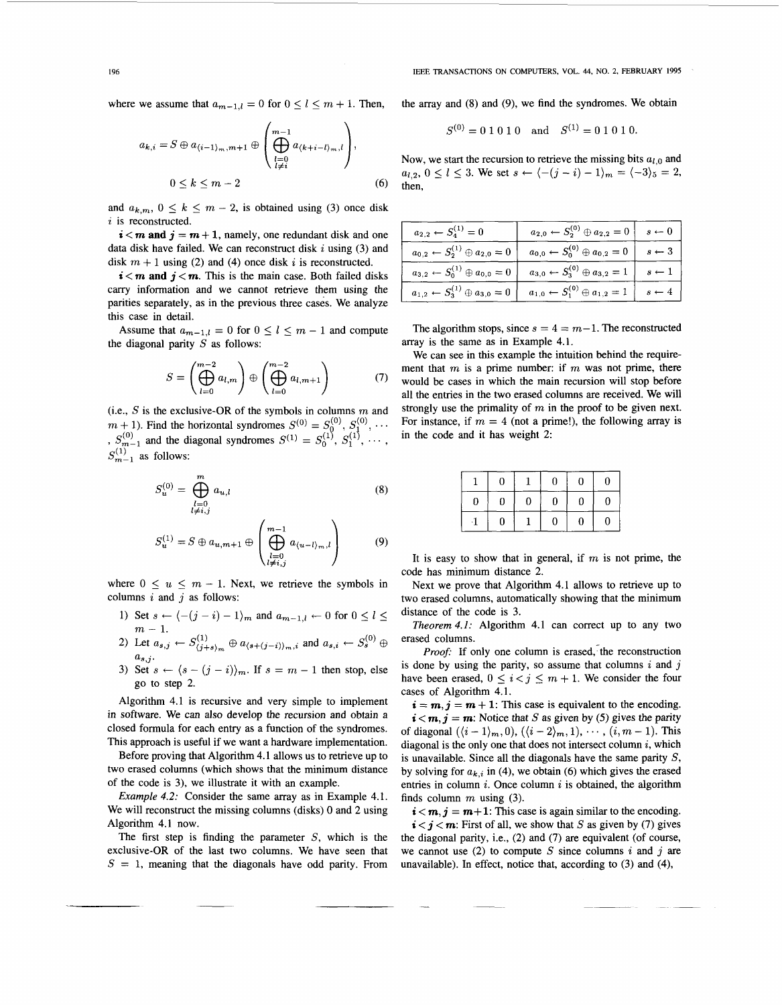$$
a_{k,i} = S \oplus a_{(i-1)m,m+1} \oplus \left( \bigoplus_{\substack{l=0 \ l \neq i}}^{m-1} a_{(k+i-l)m,l} \right),
$$
  

$$
0 \le k \le m-2
$$
 (6)

and  $a_{k,m}$ ,  $0 \leq k \leq m-2$ , is obtained using (3) once disk  $i$  is reconstructed.

 $i < m$  and  $j = m + 1$ , namely, one redundant disk and one data disk have failed. We can reconstruct disk  $i$  using (3) and disk  $m + 1$  using (2) and (4) once disk i is reconstructed.

 $i < m$  and  $j < m$ . This is the main case. Both failed disks carry information and we cannot retrieve them using the parities separately, as in the previous three cases. We analyze this case in detail.

Assume that  $a_{m-1,l} = 0$  for  $0 \le l \le m-1$  and compute the diagonal parity *S* as follows:

$$
S = \left(\bigoplus_{l=0}^{m-2} a_{l,m}\right) \oplus \left(\bigoplus_{l=0}^{m-2} a_{l,m+1}\right) \tag{7}
$$

(i.e., *S* is the exclusive-OR of the symbols in columns *m* and *m* + 1). Find the horizontal syndromes  $S^{(0)} = S_0^{(0)}$ ,  $S_1^{(0)}$ ,  $\cdots$ ,  $S_{m-1}^{(0)}$  and the diagonal syndromes  $S^{(1)} = S_0^{(1)}$ ,  $S_1^{(1)}$ ,  $\cdots$ ,  $S_{m-1}^{(1)}$  as follows:

$$
S_u^{(0)} = \bigoplus_{\substack{l=0 \\ l \neq i,j}}^m a_{u,l}
$$
 (8)

$$
S_u^{(1)} = S \oplus a_{u,m+1} \oplus \left( \bigoplus_{\substack{l=0 \ l \neq i,j}}^{m-1} a_{\langle u-l \rangle_m, l} \right) \tag{9}
$$

where  $0 \leq u \leq m - 1$ . Next, we retrieve the symbols in columns  $i$  and  $j$  as follows:

1) Set 
$$
s \leftarrow \langle -(j-i) - 1 \rangle_m
$$
 and  $a_{m-1,l} \leftarrow 0$  for  $0 \le l \le m-1$ .

2) Let 
$$
a_{s,j} \leftarrow S_{(j+s)_m}^{(1)} \oplus a_{(s+(j-i))_m,i}
$$
 and  $a_{s,i} \leftarrow S_s^{(0)} \oplus a_{s,i}$ .

3) Set  $s \leftarrow \langle s - (j - i) \rangle_m$ . If  $s = m - 1$  then stop, else go to step 2.

Algorithm 4.1 is recursive and very simple to implement in software. We can also develop the recursion and obtain a closed formula for each entry as a function of the syndromes. This approach is useful if we want a hardware implementation.

Before proving that Algorithm 4.1 allows us to retrieve up to two erased columns (which shows that the minimum distance of the code is 3), we illustrate it with an example.

*Example 4.2:* Consider the same array as in Example 4.1. We will reconstruct the missing columns (disks) 0 and 2 using Algorithm 4.1 now.

The first step is finding the parameter  $S$ , which is the exclusive-OR of the last two columns. We have seen that  $S = 1$ , meaning that the diagonals have odd parity. From

where we assume that  $a_{m-1,l} = 0$  for  $0 \le l \le m+1$ . Then, the array and (8) and (9), we find the syndromes. We obtain

$$
S^{(0)} = 0 1 0 1 0 \text{ and } S^{(1)} = 0 1 0 1 0.
$$

Now, we start the recursion to retrieve the missing bits  $a_{l,0}$  and  $a_{l,2}$ ,  $0 \le l \le 3$ . We set  $s \leftarrow \langle -(j-i)-1 \rangle_m = \langle -3 \rangle_5 = 2$ , then,

| $a_{2,2} \leftarrow S_4^{(1)} = 0$                | $a_{2,0} \leftarrow S_2^{(0)} \oplus a_{2,2} = 0$ $\begin{array}{ c c c c c c c c } \hline s & 0 & 0 \end{array}$                                   |  |
|---------------------------------------------------|-----------------------------------------------------------------------------------------------------------------------------------------------------|--|
| $a_{0,2} \leftarrow S_2^{(1)} \oplus a_{2,0} = 0$ | $a_{0,0} \leftarrow S_0^{(0)} \oplus a_{0,2} = 0$   $s \leftarrow 3$                                                                                |  |
|                                                   | $a_{3,2} \leftarrow S_0^{(1)} \oplus a_{0,0} = 0$ $\begin{array}{ccc} a_{3,0} \leftarrow S_3^{(0)} \oplus a_{3,2} = 1 & s \leftarrow 1 \end{array}$ |  |
|                                                   | $a_{1,2} \leftarrow S_3^{(1)} \oplus a_{3,0} = 0$ $a_{1,0} \leftarrow S_1^{(0)} \oplus a_{1,2} = 1$ $s \leftarrow 4$                                |  |

The algorithm stops, since  $s = 4 = m-1$ . The reconstructed array is the same as in Example 4.1.

We can see in this example the intuition behind the requirement that *m* is a prime number: if *m* was not prime, there would be cases in which the main recursion will stop before all the entries in the two erased columns are received. We will strongly use the primality of *m* in the proof to be given next. For instance, if  $m = 4$  (not a prime!), the following array is in the code and it has weight 2:

|     | 0 |          | $\bf{0}$ | 0            | $\bf{0}$ |
|-----|---|----------|----------|--------------|----------|
| 0   | 0 | $\bf{0}$ | $\bf{0}$ | $\mathbf{0}$ | 0        |
| - 1 | Ω |          | $\Omega$ | 0            | O        |

It is easy to show that in general, if *m* is not prime, the code has minimum distance 2.

Next we prove that Algorithm 4.1 allows to retrieve up to two erased columns, automatically showing that the minimum distance of the code is 3.

*Theorem 4.1:* Algorithm 4.1 can correct up to any two erased columns.

*Proof:* If only one column is erased, the reconstruction is done by using the parity, so assume that columns  $i$  and  $j$ have been erased,  $0 \le i < j \le m + 1$ . We consider the four cases of Algorithm 4.1.

 $i = m, j = m + 1$ : This case is equivalent to the encoding.  $i < m, j = m$ : Notice that *S* as given by (5) gives the parity of diagonal  $(\langle i-1\rangle_m, 0), (\langle i-2\rangle_m, 1), \cdots, (i, m-1)$ . This diagonal is the only one that does not intersect column  $i$ , which is unavailable. Since all the diagonals have the same parity *S,*  by solving for  $a_{k,i}$  in (4), we obtain (6) which gives the erased entries in column  $i$ . Once column  $i$  is obtained, the algorithm finds column *m* using (3).

 $\mathbf{i} < \mathbf{m}, \mathbf{i} = \mathbf{m} + 1$ : This case is again similar to the encoding.  $i < j < m$ : First of all, we show that *S* as given by (7) gives the diagonal parity, i.e., (2) and (7) are equivalent (of course, we cannot use  $(2)$  to compute *S* since columns i and j are unavailable). In effect, notice that, according to (3) and (4),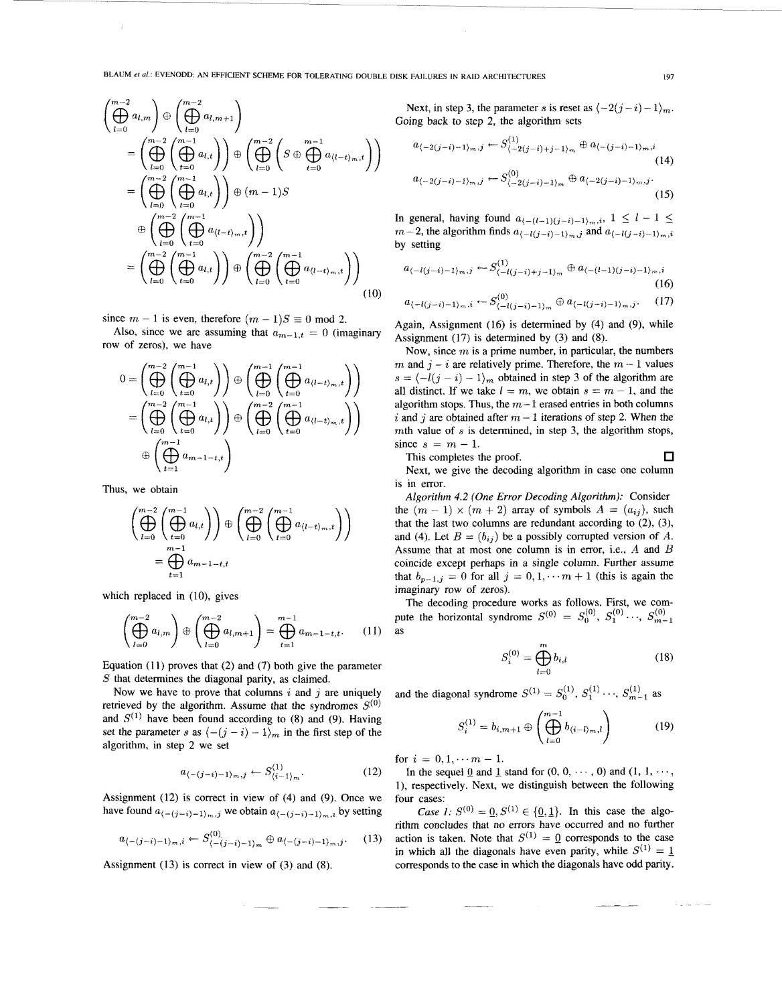$$
\begin{aligned}\n\begin{pmatrix}\nm^{-2} \\
\bigoplus_{l=0}^{m-2} a_{l,m}\n\end{pmatrix} & \bigoplus_{l=0}^{m-2} \begin{pmatrix} m_{-1} \\
\bigoplus_{l=0}^{m-1} a_{l,m+1}\n\end{pmatrix} \\
&= \left(\bigoplus_{l=0}^{m-2} \begin{pmatrix} m_{-1} \\
\bigoplus_{l=0}^{m-1} a_{l,t}\n\end{pmatrix}\right) \oplus \left(\bigoplus_{l=0}^{m-2} \begin{pmatrix} m_{-1} \\
S \oplus \bigoplus_{t=0}^{m-1} a_{(l-t)m,t}\n\end{pmatrix}\right) \\
&= \left(\bigoplus_{l=0}^{m-2} \begin{pmatrix} m_{-1} \\
\bigoplus_{l=0}^{m-2} \begin{pmatrix} m_{-1} \\
\bigoplus_{t=0}^{m-1} a_{(l-t)m,t}\n\end{pmatrix}\right) \\
&= \left(\bigoplus_{l=0}^{m-2} \begin{pmatrix} m_{-1} \\
\bigoplus_{t=0}^{m-1} a_{l,t}\n\end{pmatrix}\right) \oplus \left(\bigoplus_{l=0}^{m-2} \begin{pmatrix} m_{-1} \\
\bigoplus_{t=0}^{m-1} a_{(l-t)m,t}\n\end{pmatrix}\right) \\
(10)\n\end{aligned}
$$

since  $m-1$  is even, therefore  $(m-1)S \equiv 0 \mod 2$ . Also, since we are assuming that  $a_{m-1,t} = 0$  (imaginary row of zeros), we have

$$
0 = \left(\bigoplus_{l=0}^{m-2} \left(\bigoplus_{t=0}^{m-1} a_{l,t}\right)\right) \oplus \left(\bigoplus_{l=0}^{m-1} \left(\bigoplus_{t=0}^{m-1} a_{(l-t)m,t}\right)\right)
$$
  
= 
$$
\left(\bigoplus_{l=0}^{m-2} \left(\bigoplus_{t=0}^{m-1} a_{l,t}\right)\right) \oplus \left(\bigoplus_{l=0}^{m-2} \left(\bigoplus_{t=0}^{m-1} a_{(l-t)m,t}\right)\right)
$$
  

$$
\oplus \left(\bigoplus_{t=1}^{m-1} a_{m-1-t,t}\right)
$$

Thus, we obtain

$$
\begin{pmatrix}\nm^{-2} \\
\bigoplus_{l=0}^{m-1} \left(\bigoplus_{t=0}^{m-1} a_{l,t}\right)\n\end{pmatrix} \oplus \left(\bigoplus_{l=0}^{m-2} \left(\bigoplus_{t=0}^{m-1} a_{(l-t)m,t}\right)\right)
$$
\n
$$
= \bigoplus_{t=1}^{m-1} a_{m-1-t,t}
$$

which replaced in (10), gives

$$
\left(\bigoplus_{l=0}^{m-2} a_{l,m}\right) \oplus \left(\bigoplus_{l=0}^{m-2} a_{l,m+1}\right) = \bigoplus_{t=1}^{m-1} a_{m-1-t,t}.
$$
 (11)

Equation  $(11)$  proves that  $(2)$  and  $(7)$  both give the parameter *S* that determines the diagonal parity, as claimed.

Now we have to prove that columns  $i$  and  $j$  are uniquely retrieved by the algorithm. Assume that the syndromes  $S^{(0)}$ and  $S^{(1)}$  have been found according to (8) and (9). Having set the parameter s as  $\langle -(j - i) - 1 \rangle_m$  in the first step of the algorithm, in step 2 we set

$$
a_{\langle -(j-i)-1 \rangle_m, j} \leftarrow S^{(1)}_{(i-1)_m}.\tag{12}
$$

Assignment (12) is correct in view of (4) and (9). Once we have found  $a_{\langle-(j-i)-1\rangle_m,j}$  we obtain  $a_{\langle-(j-i)-1\rangle_m,i}$  by setting

$$
a_{\langle -(j-i)-1 \rangle_m,i} \leftarrow S^{(0)}_{\langle -(j-i)-1 \rangle_m} \oplus a_{\langle -(j-i)-1 \rangle_m,j}.
$$
 (13)

Assignment (13) is correct in view of (3) and (8).

Next, in step 3, the parameter s is reset as  $\langle -2(j-i)-1 \rangle_m$ . Going back to step 2, the algorithm sets

 $\mathcal{L}$ 

$$
a_{\langle -2(j-i)-1 \rangle_m, j} \leftarrow S_{\langle -2(j-i)+j-1 \rangle_m}^{(1)} \oplus a_{\langle -(j-i)-1 \rangle_m, i}
$$
\n
$$
a_{\langle -2(j-i)-1 \rangle_m, j} \leftarrow S_{\langle -2(j-i)-1 \rangle_m}^{(0)} \oplus a_{\langle -2(j-i)-1 \rangle_m, j}.
$$
\n(14)

In general, having found  $a_{\langle -(l-1)(j-i)-1\rangle_m,i}$ ,  $1 \leq l-1 \leq$  $m-2$ , the algorithm finds  $a_{\langle -l(j-i)-1\rangle_m,j}$  and  $a_{\langle -l(j-i)-1\rangle_m,i}$ by setting

$$
a_{\langle -l(j-i)-1 \rangle_{m},j} \leftarrow S^{(1)}_{\langle -l(j-i)+j-1 \rangle_{m}} \oplus a_{\langle -(l-1)(j-i)-1 \rangle_{m},i}
$$
\n(16)

$$
a_{\langle -l(j-i)-1 \rangle_{m},i} \leftarrow S^{(0)}_{\langle -l(j-i)-1 \rangle_{m}} \oplus a_{\langle -l(j-i)-1 \rangle_{m},j}.
$$
 (17)

Again, Assignment (16) is determined by (4) and (9), while Assignment (17) is determined by (3) and (8).

Now, since  $m$  is a prime number, in particular, the numbers *m* and  $j - i$  are relatively prime. Therefore, the  $m - 1$  values  $s = \langle -l(j - i) - 1 \rangle_m$  obtained in step 3 of the algorithm are all distinct. If we take  $l = m$ , we obtain  $s = m - 1$ , and the algorithm stops. Thus, the  $m-1$  erased entries in both columns *i* and *j* are obtained after  $m-1$  iterations of step 2. When the mth value of *s* is determined, in step 3, the algorithm stops, since  $s = m - 1$ .

This completes the proof.  $\Box$ 

Next, we give the decoding algorithm in case one column is in error.

*Algorithm 4.2 (One Error Decoding Algorithm):* Consider the  $(m - 1) \times (m + 2)$  array of symbols  $A = (a_{ij})$ , such that the last two columns are redundant according to (2), (3), and (4). Let  $B = (b_{ij})$  be a possibly corrupted version of *A*. Assume that at most one column is in error, i.e., *A* and *B*  coincide except perhaps in a single column. Further assume that  $b_{p-1,j} = 0$  for all  $j = 0, 1, \dots m + 1$  (this is again the imaginary row of zeros).

The decoding procedure works as follows. First, we compute the horizontal syndrome  $S^{(0)} = S_0^{(0)}, S_1^{(0)}, \cdots, S_{m-1}^{(0)}$ as

$$
S_i^{(0)} = \bigoplus_{l=0}^{m} b_{i,l}
$$
 (18)

and the diagonal syndrome  $S^{(1)} = S_0^{(1)}$ ,  $S_1^{(1)} \cdots$ ,  $S_{m-1}^{(1)}$  as

$$
S_i^{(1)} = b_{i,m+1} \oplus \left( \bigoplus_{l=0}^{m-1} b_{\langle i-l \rangle_m, l} \right) \tag{19}
$$

for  $i = 0, 1, \cdots m - 1$ .

In the sequel  $\underline{0}$  and  $\underline{1}$  stand for  $(0, 0, \cdots, 0)$  and  $(1, 1, \cdots, 0)$ 1), respectively. Next, we distinguish between the following four cases:

*Case 1:*  $S^{(0)} = 0, S^{(1)} \in \{0, 1\}.$  In this case the algorithm concludes that no errors have occurred and no further action is taken. Note that  $S^{(1)} = 0$  corresponds to the case in which all the diagonals have even parity, while  $S^{(1)} = 1$ corresponds to the case in which the diagonals have odd parity.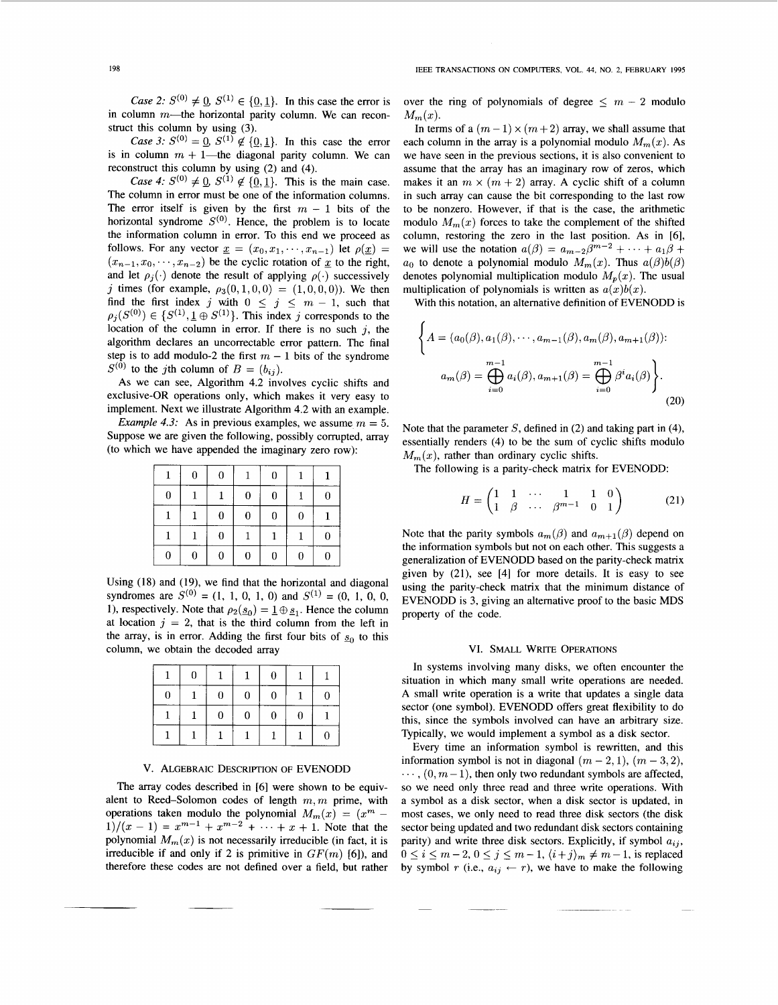*Case 2:*  $S^{(0)} \neq 0$ ,  $S^{(1)} \in \{0, 1\}$ . In this case the error is in column  $m$ —the horizontal parity column. We can reconstruct this column by using (3).

*Case 3:*  $S^{(0)} = 0$ ,  $S^{(1)} \notin \{0, 1\}$ . In this case the error is in column  $m + 1$ —the diagonal parity column. We can reconstruct this column by using (2) and (4).

*Case 4:*  $S^{(0)} \neq 0$ ,  $S^{(1)} \notin {\overline{0}, 1}$ . This is the main case. The column in error must be one of the information columns. The error itself is given by the first  $m - 1$  bits of the horizontal syndrome  $S^{(0)}$ . Hence, the problem is to locate the information column in error. To this end we proceed as follows. For any vector  $\underline{x} = (x_0, x_1, \dots, x_{n-1})$  let  $\rho(\underline{x}) =$  $(x_{n-1},x_0,\dots,x_{n-2})$  be the cyclic rotation of <u>x</u> to the right, and let  $\rho_j(\cdot)$  denote the result of applying  $\rho(\cdot)$  successively j times (for example,  $\rho_3(0, 1, 0, 0) = (1, 0, 0, 0)$ ). We then find the first index *j* with  $0 \le j \le m - 1$ , such that  $\rho_j(S^{(0)}) \in \{S^{(1)}, \pm \oplus S^{(1)}\}$ . This index *j* corresponds to the location of the column in error. If there is no such  $i$ , the algorithm declares an uncorrectable error pattern. The final step is to add modulo-2 the first  $m - 1$  bits of the syndrome  $S^{(0)}$  to the *j*th column of  $B = (b_{ij})$ .

As we can see, Algorithm 4.2 involves cyclic shifts and exclusive-OR operations only, which makes it very easy to implement. Next we illustrate Algorithm 4.2 with an example.

*Example 4.3:* As in previous examples, we assume  $m = 5$ . Suppose we are given the following, possibly corrupted, array (to which we have appended the imaginary zero row):

|   | $\boldsymbol{0}$ | $\overline{0}$ |                | $\overline{0}$ |   |   |
|---|------------------|----------------|----------------|----------------|---|---|
| 0 |                  |                | $\bf{0}$       | $\bf{0}$       |   | 0 |
|   |                  | $\bf{0}$       | $\bf{0}$       | 0              | 0 |   |
|   |                  | $\bf{0}$       |                |                |   | 0 |
| 0 | 0                | 0              | $\overline{0}$ | 0              | 0 | 0 |

Using (18) and (19), we find that the horizontal and diagonal syndromes are  $S^{(0)} = (1, 1, 0, 1, 0)$  and  $S^{(1)} = (0, 1, 0, 0, 0, 0)$ 1), respectively. Note that  $\rho_2(s_0) = 1 \oplus s_1$ . Hence the column at location  $j = 2$ , that is the third column from the left in the array, is in error. Adding the first four bits of  $s_0$  to this column, we obtain the decoded array

|   | $\boldsymbol{0}$ |   |                  | 0        |   |   |
|---|------------------|---|------------------|----------|---|---|
| 0 |                  | 0 | $\boldsymbol{0}$ | 0        |   | 0 |
|   |                  | 0 | 0                | $\bf{0}$ | 0 |   |
|   |                  |   |                  |          |   |   |

# V. ALGEBRAIC DESCRIPTION OF EVENODD

The array codes described in [6] were shown to be equivalent to Reed-Solomon codes of length *m, m* prime, with operations taken modulo the polynomial  $M_m(x) = (x^m 1)/(x-1) = x^{m-1} + x^{m-2} + \cdots + x + 1$ . Note that the polynomial  $M_m(x)$  is not necessarily irreducible (in fact, it is irreducible if and only if 2 is primitive in  $GF(m)$  [6]), and therefore these codes are not defined over a field, but rather over the ring of polynomials of degree  $\leq m - 2$  modulo  $M_m(x)$ .

In terms of a  $(m-1) \times (m+2)$  array, we shall assume that each column in the array is a polynomial modulo  $M_m(x)$ . As we have seen in the previous sections, it is also convenient to assume that the array has an imaginary row of zeros, which makes it an  $m \times (m + 2)$  array. A cyclic shift of a column in such array can cause the bit corresponding to the last row to be nonzero. However, if that is the case, the arithmetic modulo  $M_m(x)$  forces to take the complement of the shifted column, restoring the zero in the last position. As in [6], we will use the notation  $a(\beta) = a_{m-2}\beta^{m-2} + \cdots + a_1\beta +$  $a_0$  to denote a polynomial modulo  $M_m(x)$ . Thus  $a(\beta)b(\beta)$ denotes polynomial multiplication modulo  $M_p(x)$ . The usual multiplication of polynomials is written as  $a(x)b(x)$ .

With this notation, an alternative definition of EVENODD is

$$
\left\{ A = (a_0(\beta), a_1(\beta), \cdots, a_{m-1}(\beta), a_m(\beta), a_{m+1}(\beta)) : a_m(\beta) = \bigoplus_{i=0}^{m-1} a_i(\beta), a_{m+1}(\beta) = \bigoplus_{i=0}^{m-1} \beta^i a_i(\beta) \right\}.
$$
 (20)

Note that the parameter  $S$ , defined in (2) and taking part in (4), essentially renders (4) to be the sum of cyclic shifts modulo  $M_m(x)$ , rather than ordinary cyclic shifts.

The following is a parity-check matrix for EVENODD:

$$
H = \begin{pmatrix} 1 & 1 & \cdots & 1 & 1 & 0 \\ 1 & \beta & \cdots & \beta^{m-1} & 0 & 1 \end{pmatrix} \tag{21}
$$

Note that the parity symbols  $a_m(\beta)$  and  $a_{m+1}(\beta)$  depend on the information symbols but not on each other. This suggests a generalization of EVENODD based on the parity-check matrix given by  $(21)$ , see [4] for more details. It is easy to see using the parity-check matrix that the minimum distance of EVEN ODD is 3, giving an alternative proof to the basic MDS property of the code.

#### VI. SMALL WRITE OPERATIONS

In systems involving many disks, we often encounter the situation in which many small write operations are needed. A small write operation is a write that updates a single data sector (one symbol). EVENODD offers great flexibility to do this, since the symbols involved can have an arbitrary size. Typically, we would implement a symbol as a disk sector.

Every time an information symbol is rewritten, and this information symbol is not in diagonal  $(m-2, 1), (m-3, 2),$  $\cdots$ ,  $(0, m-1)$ , then only two redundant symbols are affected, so we need only three read and three write operations. With a symbol as a disk sector, when a disk sector is updated, in most cases, we only need to read three disk sectors (the disk sector being updated and two redundant disk sectors containing parity) and write three disk sectors. Explicitly, if symbol *aij,*   $0 \leq i \leq m-2, 0 \leq j \leq m-1, \langle i+j \rangle_m \neq m-1$ , is replaced by symbol r (i.e.,  $a_{ij} \leftarrow r$ ), we have to make the following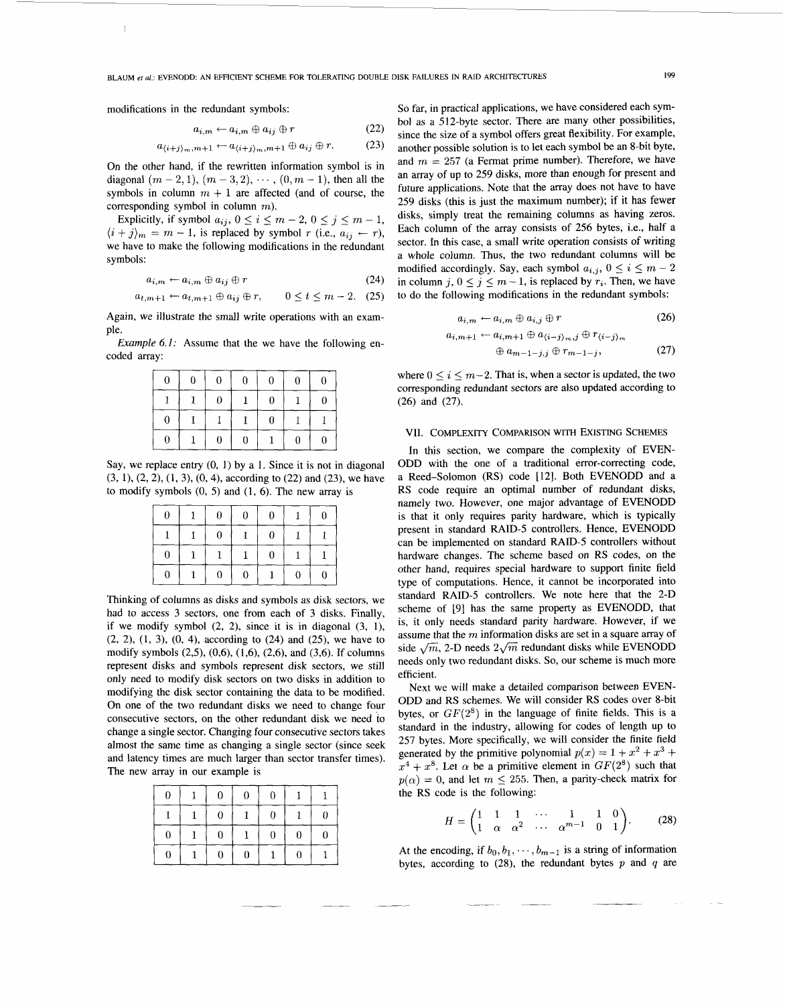modifications in the redundant symbols:

$$
a_{i,m} \leftarrow a_{i,m} \oplus a_{ij} \oplus r \tag{22}
$$

$$
a_{\langle i+j\rangle_m,m+1} \leftarrow a_{\langle i+j\rangle_m,m+1} \oplus a_{ij} \oplus r. \tag{23}
$$

On the other hand, if the rewritten information symbol is in diagonal  $(m-2, 1)$ ,  $(m-3, 2)$ ,  $\cdots$ ,  $(0, m-1)$ , then all the symbols in column  $m + 1$  are affected (and of course, the corresponding symbol in column  $m$ ).

Explicitly, if symbol  $a_{ij}$ ,  $0 \le i \le m-2$ ,  $0 \le j \le m-1$ ,  $\langle i + j \rangle_m = m - 1$ , is replaced by symbol *r* (i.e.,  $a_{ij} \leftarrow r$ ), we have to make the following modifications in the redundant symbols:

$$
a_{i,m} \leftarrow a_{i,m} \oplus a_{ij} \oplus r \tag{24}
$$

$$
a_{t,m+1} \leftarrow a_{t,m+1} \oplus a_{ij} \oplus r, \qquad 0 \le t \le m-2. \tag{25}
$$

Again, we illustrate the small write operations with an example.

*Example 6.1:* Assume that the we have the following encoded array:

| $\overline{0}$   | $\mathbf{0}$ | $\boldsymbol{0}$ | $\bf{0}$ | 0        | $\theta$ | 0 |
|------------------|--------------|------------------|----------|----------|----------|---|
|                  |              | 0                |          | $\bf{0}$ |          | 0 |
| $\boldsymbol{0}$ |              |                  |          | $\bf{0}$ |          |   |
| 0                |              | 0                | $\bf{0}$ |          | U        | 0 |

Say, we replace entry  $(0, 1)$  by a 1. Since it is not in diagonal (3, 1), (2, 2), (1, 3), (0, 4), according to (22) and (23), we have to modify symbols  $(0, 5)$  and  $(1, 6)$ . The new array is

| 0            | $\boldsymbol{0}$ | $\mathbf{0}$ | 0        |                | 0 |
|--------------|------------------|--------------|----------|----------------|---|
|              | $\bf{0}$         |              | 0        |                |   |
| $\mathbf{0}$ |                  |              | $\theta$ |                |   |
| $\bf{0}$     | $\overline{0}$   | $\bf{0}$     |          | $\overline{0}$ | 0 |

Thinking of columns as disks and symbols as disk sectors, we had to access 3 sectors, one from each of 3 disks. Finally, if we modify symbol  $(2, 2)$ , since it is in diagonal  $(3, 1)$ , (2, 2), (1, 3), (0, 4), according to (24) and (25), we have to modify symbols  $(2,5)$ ,  $(0,6)$ ,  $(1,6)$ ,  $(2,6)$ , and  $(3,6)$ . If columns represent disks and symbols represent disk sectors, we still only need to modify disk sectors on two disks in addition to modifying the disk sector containing the data to be modified. On one of the two redundant disks we need to change four consecutive sectors, on the other redundant disk we need to change a single sector. Changing four consecutive sectors takes almost the same time as changing a single sector (since seek and latency times are much larger than sector transfer times). The new array in our example is

| $\bf{0}$       | 0              | $\boldsymbol{0}$ | 0        |   |   |
|----------------|----------------|------------------|----------|---|---|
|                | $\Omega$       |                  | $\bf{0}$ |   | 0 |
| 0              | $\theta$       |                  | $\bf{0}$ | 0 | 0 |
| $\overline{0}$ | $\overline{0}$ | $\bf{0}$         |          | 0 |   |

So far, in practical applications, we have considered each symbol as a 512-byte sector. There are many other possibilities, since the size of a symbol offers great flexibility. For example, another possible solution is to let each symbol be an 8-bit byte, and  $m = 257$  (a Fermat prime number). Therefore, we have an array of up to 259 disks, more than enough for present and future applications. Note that the array does not have to have 259 disks (this is just the maximum number); if it has fewer disks, simply treat the remaining columns as having zeros. Each column of the array consists of 256 bytes, i.e., half a sector. In this case, a small write operation consists of writing a whole column. Thus, the two redundant columns will be modified accordingly. Say, each symbol  $a_{i,j}$ ,  $0 \le i \le m-2$ in column j,  $0 \le j \le m-1$ , is replaced by  $r_i$ . Then, we have to do the following modifications in the redundant symbols:

$$
a_{i,m} \leftarrow a_{i,m} \oplus a_{i,j} \oplus r \tag{26}
$$

$$
a_{i,m+1} \leftarrow a_{i,m+1} \oplus a_{\langle i-j \rangle_m, j} \oplus r_{\langle i-j \rangle_m}
$$

$$
\oplus a_{m-1-j,j} \oplus r_{m-1-j}, \tag{27}
$$

where  $0 \le i \le m-2$ . That is, when a sector is updated, the two corresponding redundant sectors are also updated according to (26) and (27).

# VII. COMPLEXITY COMPARISON WITH EXISTING SCHEMES

In this section, we compare the complexity of EVEN-ODD with the one of a traditional error-correcting code, a Reed-Solomon (RS) code [12]. Both EVENODD and a RS code require an optimal number of redundant disks, namely two. However, one major advantage of EVENODD is that it only requires parity hardware, which is typically present in standard RAID-5 controllers. Hence, EVENODD can be implemented on standard RAID-5 controllers without hardware changes. The scheme based on RS codes, on the other hand, requires special hardware to support finite field type of computations. Hence, it cannot be incorporated into standard RAID-5 controllers. We note here that the 2-D scheme of [9] has the same property as EVENODD, that is, it only needs standard parity hardware. However, if we assume that the *m* information disks are set in a square array of side  $\sqrt{m}$ , 2-D needs  $2\sqrt{m}$  redundant disks while EVENODD needs only two redundant disks. So, our scheme is much more efficient.

Next we will make a detailed comparison between EVEN-ODD and RS schemes. We will consider RS codes over 8-bit bytes, or  $GF(2^8)$  in the language of finite fields. This is a standard in the industry, allowing for codes of length up to 257 bytes. More specifically, we will consider the finite field generated by the primitive polynomial  $p(x) = 1 + x^2 + x^3 +$  $x^4 + x^8$ . Let  $\alpha$  be a primitive element in  $GF(2^8)$  such that  $p(\alpha) = 0$ , and let  $m \le 255$ . Then, a parity-check matrix for the RS code is the following:

$$
H = \begin{pmatrix} 1 & 1 & 1 & \cdots & 1 & 1 & 0 \\ 1 & \alpha & \alpha^2 & \cdots & \alpha^{m-1} & 0 & 1 \end{pmatrix}.
$$
 (28)

At the encoding, if  $b_0, b_1, \dots, b_{m-1}$  is a string of information bytes, according to (28), the redundant bytes *p* and *q* are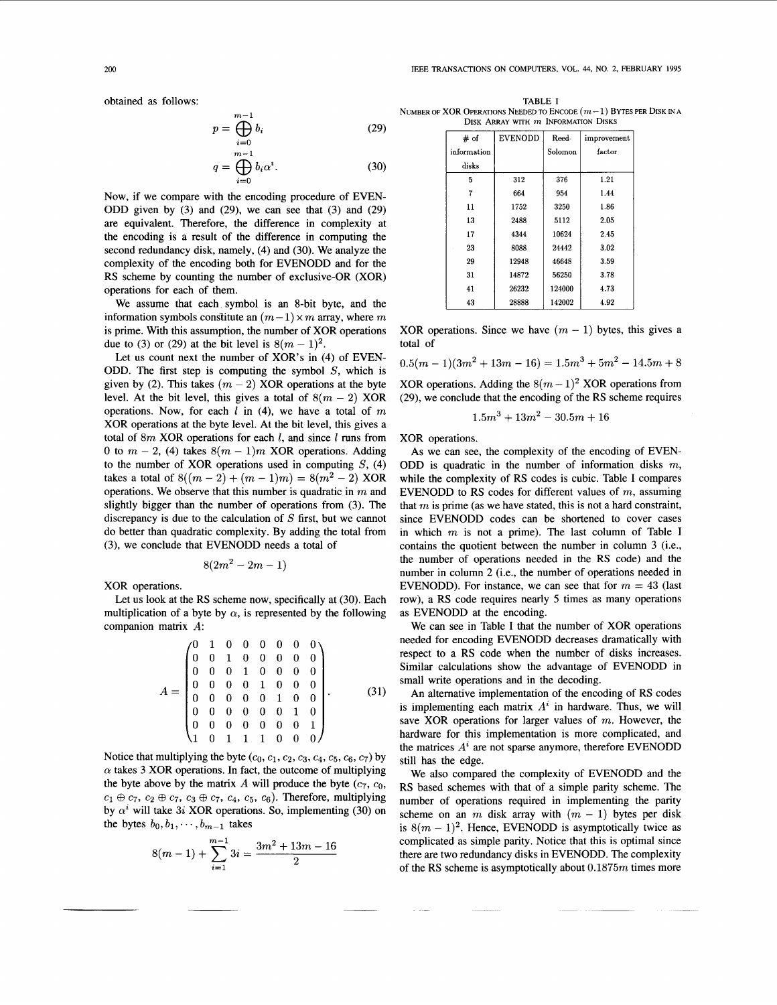obtained as follows:

$$
p = \bigoplus_{i=0}^{m-1} b_i
$$
 (29)

$$
q = \bigoplus_{i=0}^{m-1} b_i \alpha^i.
$$
 (30)

Now, if we compare with the encoding procedure of EVEN-ODD given by (3) and (29), we can see that (3) and (29) are equivalent. Therefore, the difference in complexity at the encoding is a result of the difference in computing the second redundancy disk, namely, (4) and (30). We analyze the complexity of the encoding both for EVENODD and for the RS scheme by counting the number of exclusive-OR (XOR) operations for each of them.

We assume that each. symbol is an 8-bit byte, and the information symbols constitute an  $(m-1) \times m$  array, where m is prime. With this assumption, the number of XOR operations due to (3) or (29) at the bit level is  $8(m-1)^2$ .

Let us count next the number of XOR's in (4) of EVEN-ODD. The first step is computing the symbol  $S$ , which is given by (2). This takes  $(m - 2)$  XOR operations at the byte level. At the bit level, this gives a total of  $8(m-2)$  XOR operations. Now, for each l in (4), we have a total of *m*  XOR operations at the byte level. At the bit level, this gives a total of  $8m$  XOR operations for each  $l$ , and since  $l$  runs from 0 to  $m-2$ , (4) takes  $8(m-1)m$  XOR operations. Adding to the number of XOR operations used in computing  $S$ , (4) takes a total of  $8((m - 2) + (m - 1)m) = 8(m<sup>2</sup> - 2)$  XOR operations. We observe that this number is quadratic in *m* and slightly bigger than the number of operations from (3). The discrepancy is due to the calculation of *S* first, but we cannot do better than quadratic complexity. By adding the total from (3), we conclude that EVENODD needs a total of

$$
8(2m^2-2m-1)
$$

XOR operations.

Let us look at the RS scheme now, specifically at (30). Each multiplication of a byte by  $\alpha$ , is represented by the following companion matrix *A:* 

$$
A = \begin{pmatrix} 0 & 1 & 0 & 0 & 0 & 0 & 0 & 0 \\ 0 & 0 & 1 & 0 & 0 & 0 & 0 & 0 \\ 0 & 0 & 0 & 1 & 0 & 0 & 0 & 0 \\ 0 & 0 & 0 & 0 & 1 & 0 & 0 & 0 \\ 0 & 0 & 0 & 0 & 0 & 1 & 0 & 0 \\ 0 & 0 & 0 & 0 & 0 & 0 & 1 & 0 \\ 0 & 0 & 0 & 0 & 0 & 0 & 0 & 1 \\ 1 & 0 & 1 & 1 & 1 & 0 & 0 & 0 \end{pmatrix}.
$$
 (31)

Notice that multiplying the byte  $(c_0, c_1, c_2, c_3, c_4, c_5, c_6, c_7)$  by  $\alpha$  takes 3 XOR operations. In fact, the outcome of multiplying the byte above by the matrix A will produce the byte  $(c_7, c_0,$  $c_1 \oplus c_7$ ,  $c_2 \oplus c_7$ ,  $c_3 \oplus c_7$ ,  $c_4$ ,  $c_5$ ,  $c_6$ ). Therefore, multiplying by  $\alpha^i$  will take 3i XOR operations. So, implementing (30) on the bytes  $b_0, b_1, \cdots, b_{m-1}$  takes

$$
8(m-1)+\sum_{i=1}^{m-1}3i=\frac{3m^2+13m-16}{2}
$$

TABLE I NUMBER OF XOR OPERATIONS NEEDED TO ENCODE  $(m-1)$  BYTES PER DISK IN A DISK ARRAY WITH  $m$  INFORMATION DISKS

| # of        | <b>EVENODD</b> | Reed-   | improvement |
|-------------|----------------|---------|-------------|
| information |                | Solomon | factor      |
| disks       |                |         |             |
| 5           | 312            | 376     | 1.21        |
| 7           | 664            | 954     | 1.44        |
| 11          | 1752           | 3250    | 1.86        |
| 13          | 2488           | 5112    | 2.05        |
| 17          | 4344           | 10624   | 2.45        |
| 23          | 8088           | 24442   | 3.02        |
| 29          | 12948          | 46648   | 3.59        |
| 31          | 14872          | 56250   | 3.78        |
| 41          | 26232          | 124000  | 4.73        |
| 43          | 28888          | 142002  | 4.92        |

XOR operations. Since we have  $(m - 1)$  bytes, this gives a total of

 $0.5(m-1)(3m^2+13m-16) = 1.5m^3+5m^2-14.5m+8$ 

XOR operations. Adding the  $8(m-1)^2$  XOR operations from (29), we conclude that the encoding of the RS scheme requires

$$
1.5m^3 + 13m^2 - 30.5m + 16
$$

XOR operations.

As we can see, the complexity of the encoding of EVEN-ODD is quadratic in the number of information disks *m,*  while the complexity of RS codes is cubic. Table I compares EVENODD to RS codes for different values of *m,* assuming that *m* is prime (as we have stated, this is not a hard constraint, since EVENODD codes can be shortened to cover cases in which *m* is not a prime). The last column of Table I contains the quotient between the number in column 3 (i.e., the number of operations needed in the RS code) and the number in column 2 (i.e., the number of operations needed in EVENODD). For instance, we can see that for  $m = 43$  (last row), a RS code requires nearly 5 times as many operations as EVENODD at the encoding.

We can see in Table I that the number of XOR operations needed for encoding EVENODD decreases dramatically with respect to a RS code when the number of disks increases. Similar calculations show the advantage of EVENODD in small write operations and in the decoding.

An alternative implementation of the encoding of RS codes is implementing each matrix  $A<sup>i</sup>$  in hardware. Thus, we will save XOR operations for larger values of *m.* However, the hardware for this implementation is more complicated, and the matrices  $A<sup>i</sup>$  are not sparse anymore, therefore EVENODD still has the edge.

We also compared the complexity of EVENODD and the RS based schemes with that of a simple parity scheme. The number of operations required in implementing the parity scheme on an *m* disk array with  $(m - 1)$  bytes per disk is  $8(m-1)^2$ . Hence, EVENODD is asymptotically twice as complicated as simple parity. Notice that this is optimal since there are two redundancy disks in EVENODD. The complexity of the RS scheme is asymptotically about 0.1875m times more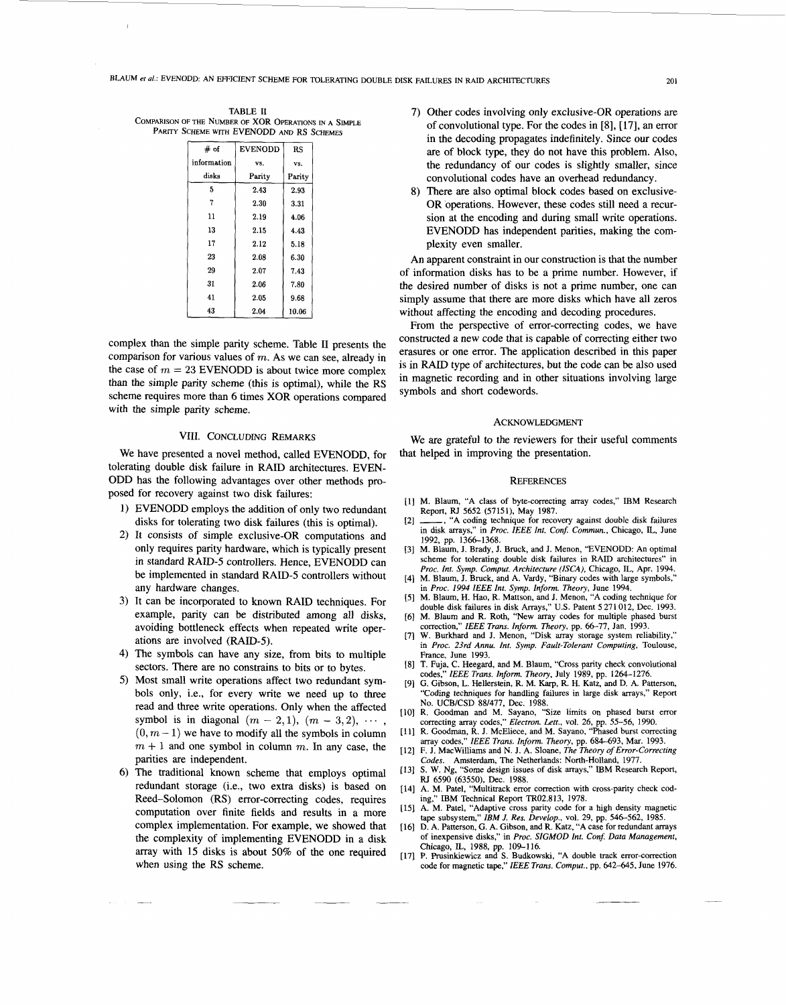| TABLE II                                               |
|--------------------------------------------------------|
| COMPARISON OF THE NUMBER OF XOR OPERATIONS IN A SIMPLE |
| PARITY SCHEME WITH EVENODD AND RS SCHEMES              |

| # of        | <b>EVENODD</b> | RS     |  |
|-------------|----------------|--------|--|
| information | vs.            | VS.    |  |
| disks       | Parity         | Parity |  |
| 5           | 2.43           | 2.93   |  |
| 7           | 2.30           | 3.31   |  |
| 11          | 2.19           | 4.06   |  |
| 13          | 2.15           | 4.43   |  |
| 17          | 2.12           | 5.18   |  |
| 23          | 2.08           | 6.30   |  |
| 29          | 2.07           | 7.43   |  |
| 31          | 2.06           | 7.80   |  |
| 41          | 2.05           | 9.68   |  |
| 43          | 2.04           | 10.06  |  |

complex than the simple parity scheme. Table II presents the comparison for various values of *m.* As we can see, already in the case of  $m = 23$  EVENODD is about twice more complex than the simple parity scheme (this is optimal), while the RS scheme requires more than 6 times XOR operations compared with the simple parity scheme.

# VIII. CONCLUDING REMARKS

We have presented a novel method, called EVENODD, for tolerating double disk failure in RAID architectures. EVEN-ODD has the following advantages over other methods proposed for recovery against two disk failures:

- 1) EVENODD employs the addition of only two redundant disks for tolerating two disk failures (this is optimal).
- 2) It consists of simple exclusive-OR computations and only requires parity hardware, which is typically present in standard RAID-5 controllers. Hence, EVENODD can be implemented in standard RAID-5 controllers without any hardware changes.
- 3) It can be incorporated to known RAID techniques. For example, parity can be distributed among all disks, avoiding bottleneck effects when repeated write operations are involved (RAID-5).
- 4) The symbols can have any size, from bits to multiple sectors. There are no constrains to bits or to bytes.
- 5) Most small write operations affect two redundant symbols only, i.e., for every write we need up to three read and three write operations. Only when the affected symbol is in diagonal  $(m-2,1)$ ,  $(m-3,2)$ ,  $\cdots$ ,  $(0, m - 1)$  we have to modify all the symbols in column  $m + 1$  and one symbol in column  $m$ . In any case, the parities are independent.
- 6) The traditional known scheme that employs optimal redundant storage (i.e., two extra disks) is based on Reed-Solomon (RS) error-correcting codes, requires computation over finite fields and results in a more complex implementation. For example, we showed that the complexity of implementing EVENODD in a disk array with 15 disks is about 50% of the one required when using the RS scheme.
- 7) Other codes involving only exclusive-OR operations are of convolutional type. For the codes in [8], [17], an error in the decoding propagates indefinitely. Since our codes are of block type, they do not have this problem. Also, the redundancy of our codes is slightly smaller, since convolutional codes have an overhead redundancy.
- 8) There are also optimal block codes based on exclusive-OR operations. However, these codes still need a recursion at the encoding and during small write operations. EVENODD has independent parities, making the complexity even smaller.

An apparent constraint in our construction is that the number of information disks has to be a prime number. However, if the desired number of disks is not a prime number, one can simply assume that there are more disks which have all zeros without affecting the encoding and decoding procedures.

From the perspective of error-correcting codes, we have constructed a new code that is capable of correcting either two erasures or one error. The application described in this paper is in RAID type of architectures, but the code can be also used in magnetic recording and in other situations involving large symbols and short codewords.

#### ACKNOWLEDGMENT

We are grateful to the reviewers for their useful comments that helped in improving the presentation.

#### **REFERENCES**

- [1] M. Blaum, "A class of byte-correcting array codes," IBM Research Report, RJ 5652 (57151), May 1987.
- [2] \_\_\_, "A coding technique for recovery against double disk failures in disk arrays," in *Proc. IEEE Int. Conf Commun.,* Chicago, IL, June 1992, pp. 1366-1368.
- [3] M. Blaum, J. Brady, J. Bruck, and J. Menon, "EVENODD: An optimal scheme for tolerating double disk failures in RAID architectures" in *Proc. Int. Symp. Comput. Architecture (ISCA),* Chicago, IL, Apr. 1994.
- [4] M. Blaum, J. Bruck, and A. Vardy, "Binary codes with large symbols," in *Proc. I994 IEEE Int. Symp. Inform. Theory,* June 1994.
- [5] M. Blaum, H. Hao, R. Mattson, and J. Menon, "A coding technique for double disk failures in disk Arrays," U.S. Patent 5 271012, Dec. 1993.
- [6] M. Blaum and R. Roth, "New array codes for multiple phased burst correction," *IEEE Trans. Inform. Theory,* pp. 66-77, Jan. 1993.
- [7] W. Burkhard and J. Menon, "Disk array storage system reliability," in *Proc. 23rd Annu. Int. Symp. Fault-Tolerant Computing,* Toulouse, France, June 1993.
- [8] T. Fuja, C. Heegard, and M. Blaum, "Cross parity check convolutional codes," *IEEE Trans. Inform. Theory,* July 1989, pp. 1264-1276.
- [9] G. Gibson, L. Hellerstein, R. M. Karp, R. H. Katz, and D. A. Patterson, "Coding techniques for handling failures in large disk arrays," Report No. UCB/CSD 88/477, Dec. 1988. [10] R. Goodman and M. Sayano, "Size limits on phased burst error
- 
- correcting array codes," *Electron. Lett.*, vol. 26, pp. 55-56, 1990.<br>[11] R. Goodman, R. J. McEliece, and M. Sayano, "Phased burst correcting array codes," *IEEE Trans. Inform. Theory*, pp. 684-693, Mar. 1993.
- [12] F. J. MacWilliams and N.J. A. Sloane, *The Theory of Error-Correcting Codes.* Amsterdam, The Netherlands: North-Holland, 1977.
- [13] S. W. Ng, "Some design issues of disk arrays," IBM Research Report, RJ 6590 (63550), Dec. 1988.
- [14] A. M. Patel, "Multitrack error correction with cross-parity check coding," IBM Technical Report TR02.813, 1978.
- [15] A. M. Patel, "Adaptive cross parity code for a high density magnetic tape subsystem," *IBM* J. *Res. Develop.,* vol. 29, pp. 546-562, 1985. [16] D. A. Patterson, G. A. Gibson, and R. Katz, "A case for redundant arrays
- of inexpensive disks," in *Proc. SIGMOD Int. Conf Data Management,*  Chicago, IL, 1988, pp. 109-116.
- [17] P. Prusinkiewicz and S. Budkowski, "A double track error-correction code for magnetic tape," *IEEE Trans. Comput.,* pp. 642-645, June 1976.